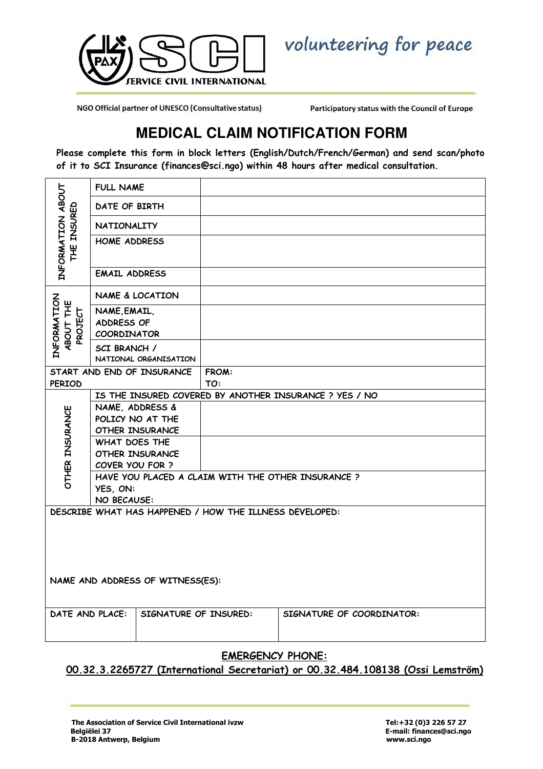

volunteering for peace

NGO Official partner of UNESCO (Consultative status)

Participatory status with the Council of Europe

## **MEDICAL CLAIM NOTIFICATION FORM**

Please complete this form in block letters (English/Dutch/French/German) and send scan/photo of it to SCI Insurance (finances@sci.ngo) within 48 hours after medical consultation.

| INFORMATION ABOUT<br><b>INSURED</b><br>出    | <b>FULL NAME</b>                                  |                        |                                                         |                                                        |  |  |  |  |  |  |
|---------------------------------------------|---------------------------------------------------|------------------------|---------------------------------------------------------|--------------------------------------------------------|--|--|--|--|--|--|
|                                             | DATE OF BIRTH                                     |                        |                                                         |                                                        |  |  |  |  |  |  |
|                                             | <b>NATIONALITY</b>                                |                        |                                                         |                                                        |  |  |  |  |  |  |
|                                             | <b>HOME ADDRESS</b>                               |                        |                                                         |                                                        |  |  |  |  |  |  |
|                                             | <b>EMAIL ADDRESS</b>                              |                        |                                                         |                                                        |  |  |  |  |  |  |
| INFORMATION<br>ABOUT THE<br>PROJECT         | NAME & LOCATION                                   |                        |                                                         |                                                        |  |  |  |  |  |  |
|                                             | NAME, EMAIL,<br>ADDRESS OF<br>COORDINATOR         |                        |                                                         |                                                        |  |  |  |  |  |  |
|                                             | SCI BRANCH /<br>NATIONAL ORGANISATION             |                        |                                                         |                                                        |  |  |  |  |  |  |
| START AND END OF INSURANCE<br><b>PERIOD</b> |                                                   |                        | <b>FROM:</b><br>TO:                                     |                                                        |  |  |  |  |  |  |
|                                             |                                                   |                        |                                                         | IS THE INSURED COVERED BY ANOTHER INSURANCE ? YES / NO |  |  |  |  |  |  |
|                                             | NAME, ADDRESS &                                   |                        |                                                         |                                                        |  |  |  |  |  |  |
|                                             | POLICY NO AT THE                                  |                        |                                                         |                                                        |  |  |  |  |  |  |
| OTHER INSURANCE                             | <b>OTHER INSURANCE</b>                            |                        |                                                         |                                                        |  |  |  |  |  |  |
|                                             | <b>WHAT DOES THE</b>                              |                        |                                                         |                                                        |  |  |  |  |  |  |
|                                             |                                                   | <b>OTHER INSURANCE</b> |                                                         |                                                        |  |  |  |  |  |  |
|                                             | COVER YOU FOR ?                                   |                        |                                                         |                                                        |  |  |  |  |  |  |
|                                             | HAVE YOU PLACED A CLAIM WITH THE OTHER INSURANCE? |                        |                                                         |                                                        |  |  |  |  |  |  |
|                                             | YES, ON:                                          |                        |                                                         |                                                        |  |  |  |  |  |  |
|                                             | NO BECAUSE:                                       |                        |                                                         |                                                        |  |  |  |  |  |  |
|                                             |                                                   |                        | DESCRIBE WHAT HAS HAPPENED / HOW THE ILLNESS DEVELOPED: |                                                        |  |  |  |  |  |  |
|                                             |                                                   |                        |                                                         |                                                        |  |  |  |  |  |  |
| NAME AND ADDRESS OF WITNESS(ES):            |                                                   |                        |                                                         |                                                        |  |  |  |  |  |  |
| DATE AND PLACE:                             |                                                   | SIGNATURE OF INSURED:  |                                                         | SIGNATURE OF COORDINATOR:                              |  |  |  |  |  |  |
| <b>EMERGENCY PHONE:</b>                     |                                                   |                        |                                                         |                                                        |  |  |  |  |  |  |

00.32.3.2265727 (International Secretariat) or 00.32.484.108138 (Ossi Lemström)